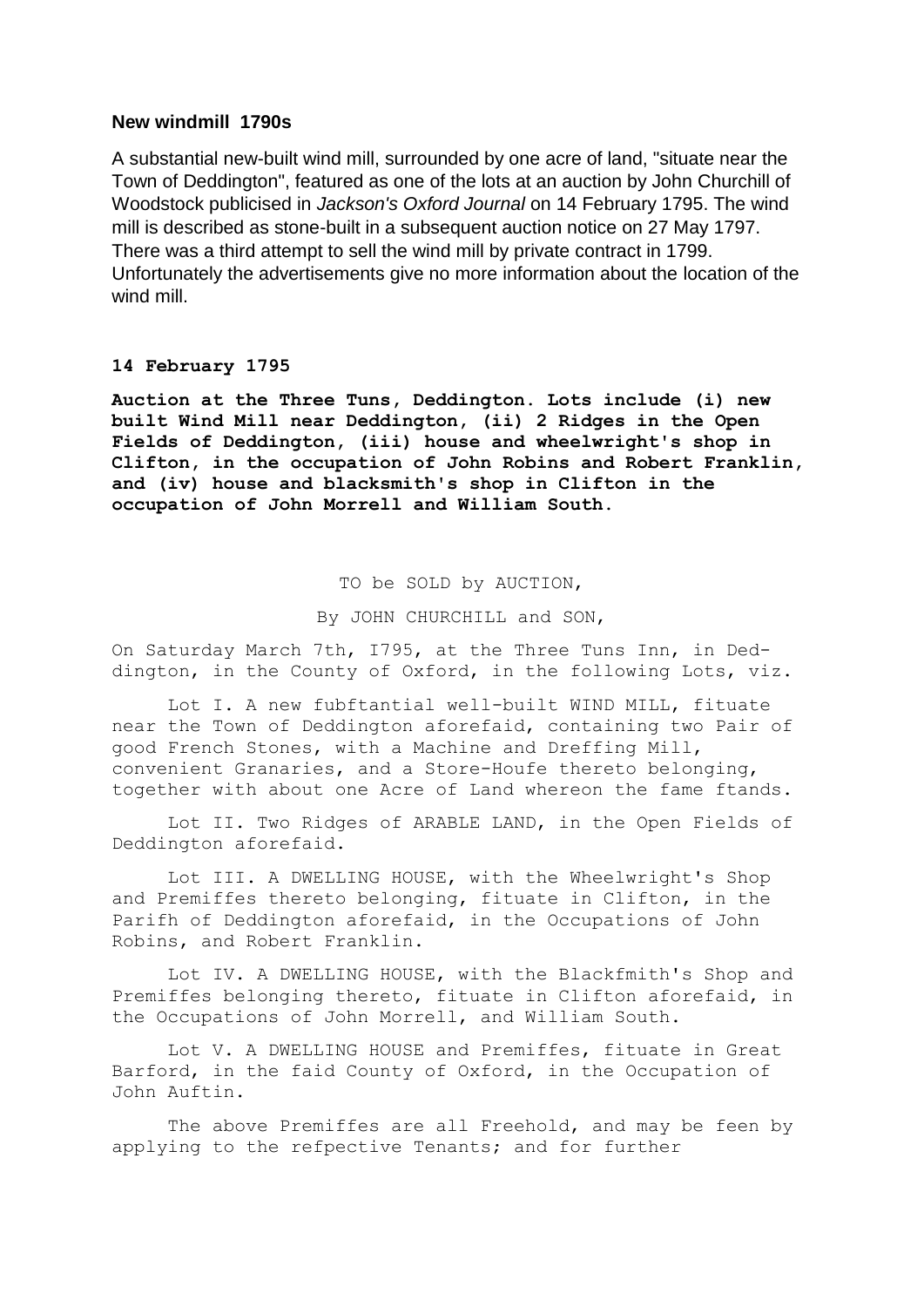# **New windmill 1790s**

A substantial new-built wind mill, surrounded by one acre of land, "situate near the Town of Deddington", featured as one of the lots at an auction by John Churchill of Woodstock publicised in *Jackson's Oxford Journal* on 14 February 1795. The wind mill is described as stone-built in a subsequent auction notice on 27 May 1797. There was a third attempt to sell the wind mill by private contract in 1799. Unfortunately the advertisements give no more information about the location of the wind mill.

## **14 February 1795**

**Auction at the Three Tuns, Deddington. Lots include (i) new built Wind Mill near Deddington, (ii) 2 Ridges in the Open Fields of Deddington, (iii) house and wheelwright's shop in Clifton, in the occupation of John Robins and Robert Franklin, and (iv) house and blacksmith's shop in Clifton in the occupation of John Morrell and William South.**

## TO be SOLD by AUCTION,

#### By JOHN CHURCHILL and SON,

On Saturday March 7th, I795, at the Three Tuns Inn, in Deddington, in the County of Oxford, in the following Lots, viz.

Lot I. A new fubftantial well-built WIND MILL, fituate near the Town of Deddington aforefaid, containing two Pair of good French Stones, with a Machine and Dreffing Mill, convenient Granaries, and a Store-Houfe thereto belonging, together with about one Acre of Land whereon the fame ftands.

Lot II. Two Ridges of ARABLE LAND, in the Open Fields of Deddington aforefaid.

Lot III. A DWELLING HOUSE, with the Wheelwright's Shop and Premiffes thereto belonging, fituate in Clifton, in the Parifh of Deddington aforefaid, in the Occupations of John Robins, and Robert Franklin.

Lot IV. A DWELLING HOUSE, with the Blackfmith's Shop and Premiffes belonging thereto, fituate in Clifton aforefaid, in the Occupations of John Morrell, and William South.

Lot V. A DWELLING HOUSE and Premiffes, fituate in Great Barford, in the faid County of Oxford, in the Occupation of John Auftin.

The above Premiffes are all Freehold, and may be feen by applying to the refpective Tenants; and for further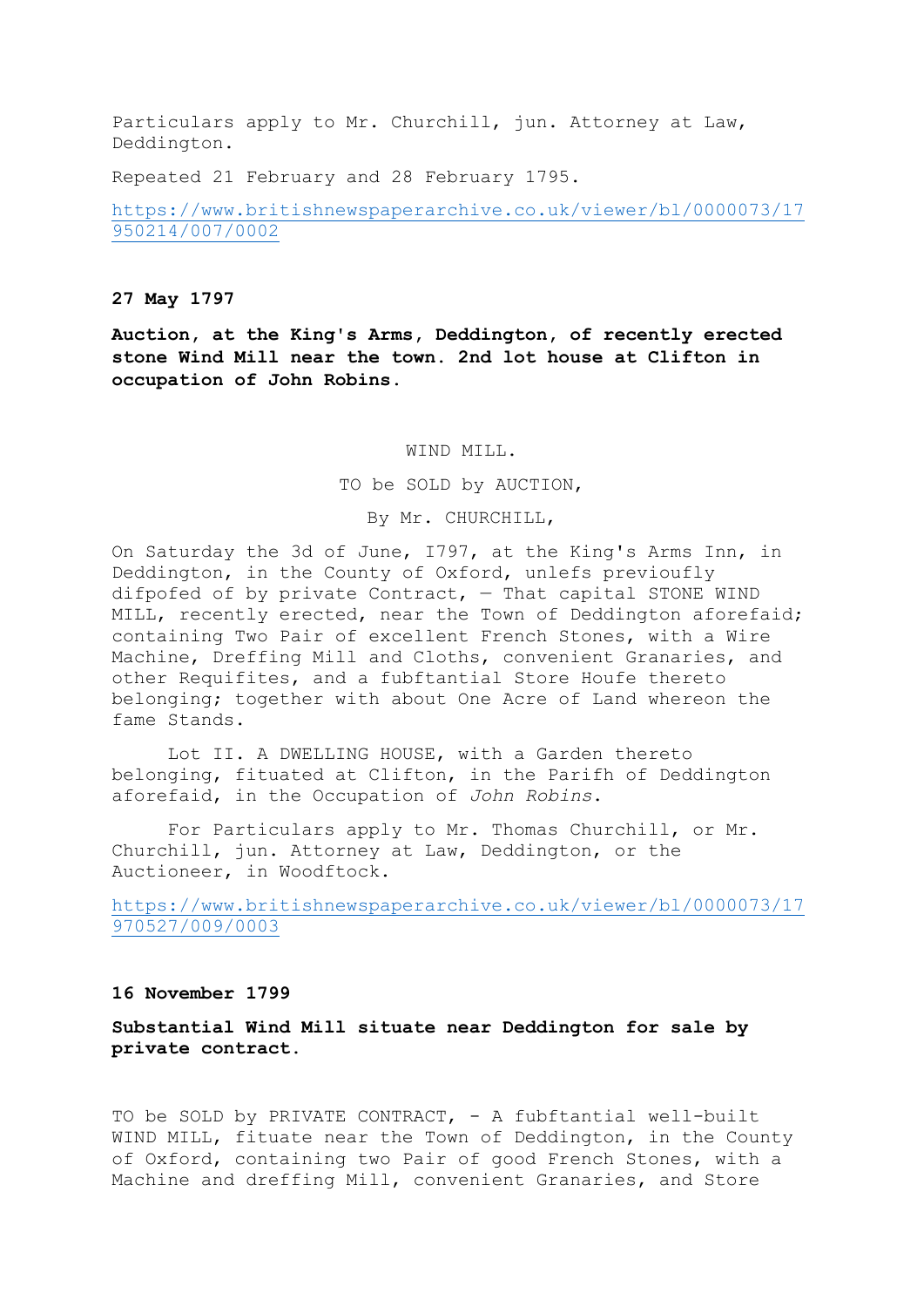Particulars apply to Mr. Churchill, jun. Attorney at Law, Deddington.

Repeated 21 February and 28 February 1795.

[https://www.britishnewspaperarchive.co.uk/viewer/bl/0000073/17](https://www.britishnewspaperarchive.co.uk/viewer/bl/0000073/17950214/007/0002) [950214/007/0002](https://www.britishnewspaperarchive.co.uk/viewer/bl/0000073/17950214/007/0002)

### **27 May 1797**

**Auction, at the King's Arms, Deddington, of recently erected stone Wind Mill near the town. 2nd lot house at Clifton in occupation of John Robins.**

WIND MILL.

TO be SOLD by AUCTION,

By Mr. CHURCHILL,

On Saturday the 3d of June, I797, at the King's Arms Inn, in Deddington, in the County of Oxford, unlefs previoufly difpofed of by private Contract,  $-$  That capital STONE WIND MILL, recently erected, near the Town of Deddington aforefaid; containing Two Pair of excellent French Stones, with a Wire Machine, Dreffing Mill and Cloths, convenient Granaries, and other Requifites, and a fubftantial Store Houfe thereto belonging; together with about One Acre of Land whereon the fame Stands.

Lot II. A DWELLING HOUSE, with a Garden thereto belonging, fituated at Clifton, in the Parifh of Deddington aforefaid, in the Occupation of *John Robins*.

For Particulars apply to Mr. Thomas Churchill, or Mr. Churchill, jun. Attorney at Law, Deddington, or the Auctioneer, in Woodftock.

[https://www.britishnewspaperarchive.co.uk/viewer/bl/0000073/17](https://www.britishnewspaperarchive.co.uk/viewer/bl/0000073/17970527/009/0003) [970527/009/0003](https://www.britishnewspaperarchive.co.uk/viewer/bl/0000073/17970527/009/0003)

## **16 November 1799**

**Substantial Wind Mill situate near Deddington for sale by private contract.**

TO be SOLD by PRIVATE CONTRACT, - A fubftantial well-built WIND MILL, fituate near the Town of Deddington, in the County of Oxford, containing two Pair of good French Stones, with a Machine and dreffing Mill, convenient Granaries, and Store